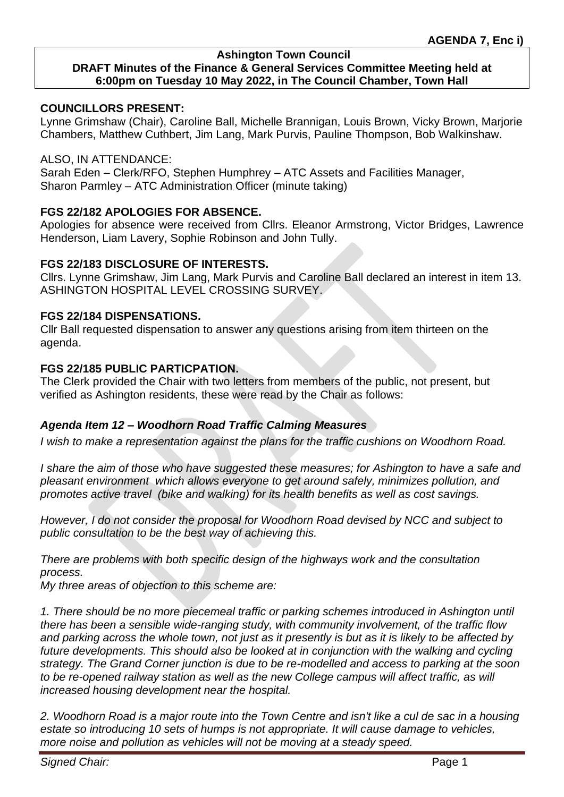### **Ashington Town Council**

# **DRAFT Minutes of the Finance & General Services Committee Meeting held at 6:00pm on Tuesday 10 May 2022, in The Council Chamber, Town Hall**

#### **COUNCILLORS PRESENT:**

Lynne Grimshaw (Chair), Caroline Ball, Michelle Brannigan, Louis Brown, Vicky Brown, Marjorie Chambers, Matthew Cuthbert, Jim Lang, Mark Purvis, Pauline Thompson, Bob Walkinshaw.

#### ALSO, IN ATTENDANCE:

Sarah Eden – Clerk/RFO, Stephen Humphrey – ATC Assets and Facilities Manager, Sharon Parmley – ATC Administration Officer (minute taking)

### **FGS 22/182 APOLOGIES FOR ABSENCE.**

Apologies for absence were received from Cllrs. Eleanor Armstrong, Victor Bridges, Lawrence Henderson, Liam Lavery, Sophie Robinson and John Tully.

#### **FGS 22/183 DISCLOSURE OF INTERESTS.**

Cllrs. Lynne Grimshaw, Jim Lang, Mark Purvis and Caroline Ball declared an interest in item 13. ASHINGTON HOSPITAL LEVEL CROSSING SURVEY.

### **FGS 22/184 DISPENSATIONS.**

Cllr Ball requested dispensation to answer any questions arising from item thirteen on the agenda.

### **FGS 22/185 PUBLIC PARTICPATION.**

The Clerk provided the Chair with two letters from members of the public, not present, but verified as Ashington residents, these were read by the Chair as follows:

### *Agenda Item 12 – Woodhorn Road Traffic Calming Measures*

*I wish to make a representation against the plans for the traffic cushions on Woodhorn Road.*

*I share the aim of those who have suggested these measures; for Ashington to have a safe and pleasant environment which allows everyone to get around safely, minimizes pollution, and promotes active travel (bike and walking) for its health benefits as well as cost savings.*

*However, I do not consider the proposal for Woodhorn Road devised by NCC and subject to public consultation to be the best way of achieving this.*

*There are problems with both specific design of the highways work and the consultation process.*

*My three areas of objection to this scheme are:*

*1. There should be no more piecemeal traffic or parking schemes introduced in Ashington until there has been a sensible wide-ranging study, with community involvement, of the traffic flow and parking across the whole town, not just as it presently is but as it is likely to be affected by future developments. This should also be looked at in conjunction with the walking and cycling strategy. The Grand Corner junction is due to be re-modelled and access to parking at the soon*  to be re-opened railway station as well as the new College campus will affect traffic, as will *increased housing development near the hospital.*

*2. Woodhorn Road is a major route into the Town Centre and isn't like a cul de sac in a housing estate so introducing 10 sets of humps is not appropriate. It will cause damage to vehicles, more noise and pollution as vehicles will not be moving at a steady speed.*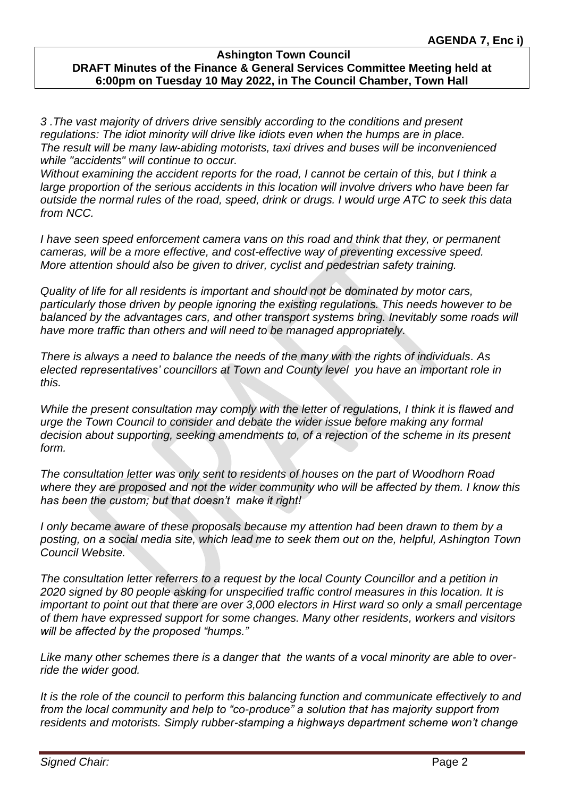*3 .The vast majority of drivers drive sensibly according to the conditions and present regulations: The idiot minority will drive like idiots even when the humps are in place. The result will be many law-abiding motorists, taxi drives and buses will be inconvenienced while "accidents" will continue to occur.*

*Without examining the accident reports for the road, I cannot be certain of this, but I think a large proportion of the serious accidents in this location will involve drivers who have been far outside the normal rules of the road, speed, drink or drugs. I would urge ATC to seek this data from NCC.*

*I have seen speed enforcement camera vans on this road and think that they, or permanent cameras, will be a more effective, and cost-effective way of preventing excessive speed. More attention should also be given to driver, cyclist and pedestrian safety training.*

*Quality of life for all residents is important and should not be dominated by motor cars, particularly those driven by people ignoring the existing regulations. This needs however to be balanced by the advantages cars, and other transport systems bring. Inevitably some roads will have more traffic than others and will need to be managed appropriately.* 

*There is always a need to balance the needs of the many with the rights of individuals. As elected representatives' councillors at Town and County level you have an important role in this.*

*While the present consultation may comply with the letter of regulations, I think it is flawed and urge the Town Council to consider and debate the wider issue before making any formal decision about supporting, seeking amendments to, of a rejection of the scheme in its present form.*

*The consultation letter was only sent to residents of houses on the part of Woodhorn Road where they are proposed and not the wider community who will be affected by them. I know this has been the custom; but that doesn't make it right!*

*I only became aware of these proposals because my attention had been drawn to them by a posting, on a social media site, which lead me to seek them out on the, helpful, Ashington Town Council Website.*

*The consultation letter referrers to a request by the local County Councillor and a petition in 2020 signed by 80 people asking for unspecified traffic control measures in this location. It is important to point out that there are over 3,000 electors in Hirst ward so only a small percentage of them have expressed support for some changes. Many other residents, workers and visitors will be affected by the proposed "humps."*

*Like many other schemes there is a danger that the wants of a vocal minority are able to override the wider good.*

*It is the role of the council to perform this balancing function and communicate effectively to and from the local community and help to "co-produce" a solution that has majority support from residents and motorists. Simply rubber-stamping a highways department scheme won't change*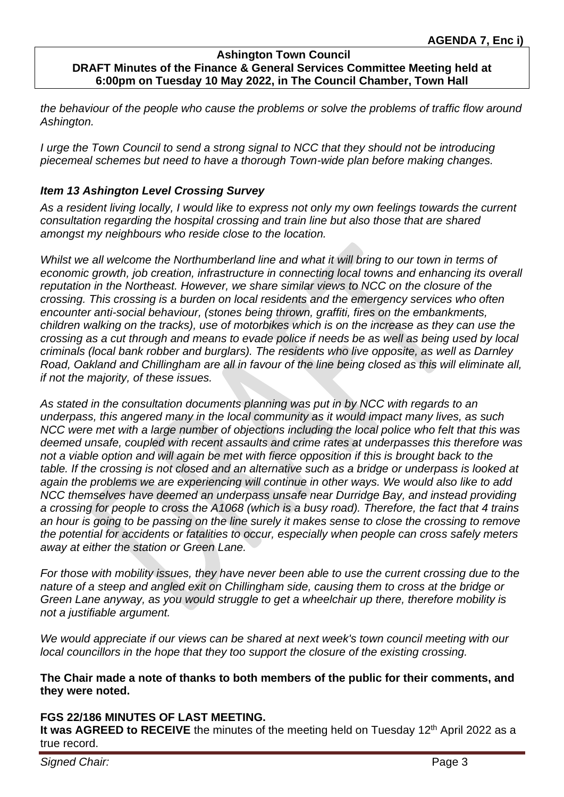*the behaviour of the people who cause the problems or solve the problems of traffic flow around Ashington.*

*I urge the Town Council to send a strong signal to NCC that they should not be introducing piecemeal schemes but need to have a thorough Town-wide plan before making changes.*

# *Item 13 Ashington Level Crossing Survey*

*As a resident living locally, I would like to express not only my own feelings towards the current consultation regarding the hospital crossing and train line but also those that are shared amongst my neighbours who reside close to the location.* 

*Whilst we all welcome the Northumberland line and what it will bring to our town in terms of economic growth, job creation, infrastructure in connecting local towns and enhancing its overall reputation in the Northeast. However, we share similar views to NCC on the closure of the crossing. This crossing is a burden on local residents and the emergency services who often encounter anti-social behaviour, (stones being thrown, graffiti, fires on the embankments, children walking on the tracks), use of motorbikes which is on the increase as they can use the crossing as a cut through and means to evade police if needs be as well as being used by local criminals (local bank robber and burglars). The residents who live opposite, as well as Darnley Road, Oakland and Chillingham are all in favour of the line being closed as this will eliminate all, if not the majority, of these issues.* 

*As stated in the consultation documents planning was put in by NCC with regards to an underpass, this angered many in the local community as it would impact many lives, as such NCC were met with a large number of objections including the local police who felt that this was deemed unsafe, coupled with recent assaults and crime rates at underpasses this therefore was not a viable option and will again be met with fierce opposition if this is brought back to the table. If the crossing is not closed and an alternative such as a bridge or underpass is looked at again the problems we are experiencing will continue in other ways. We would also like to add NCC themselves have deemed an underpass unsafe near Durridge Bay, and instead providing a crossing for people to cross the A1068 (which is a busy road). Therefore, the fact that 4 trains an hour is going to be passing on the line surely it makes sense to close the crossing to remove the potential for accidents or fatalities to occur, especially when people can cross safely meters away at either the station or Green Lane.* 

*For those with mobility issues, they have never been able to use the current crossing due to the nature of a steep and angled exit on Chillingham side, causing them to cross at the bridge or Green Lane anyway, as you would struggle to get a wheelchair up there, therefore mobility is not a justifiable argument.* 

*We would appreciate if our views can be shared at next week's town council meeting with our local councillors in the hope that they too support the closure of the existing crossing.*

### **The Chair made a note of thanks to both members of the public for their comments, and they were noted.**

# **FGS 22/186 MINUTES OF LAST MEETING.**

It was AGREED to RECEIVE the minutes of the meeting held on Tuesday 12<sup>th</sup> April 2022 as a true record.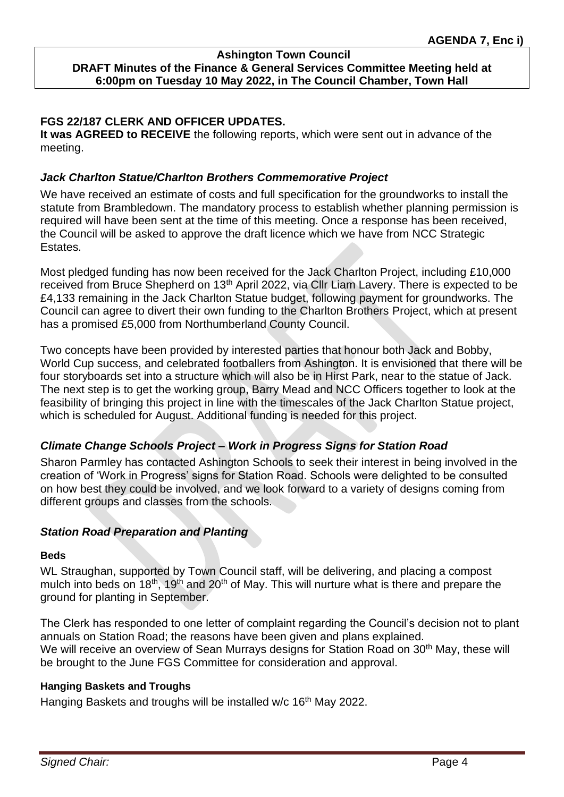### **FGS 22/187 CLERK AND OFFICER UPDATES.**

**It was AGREED to RECEIVE** the following reports, which were sent out in advance of the meeting.

#### *Jack Charlton Statue/Charlton Brothers Commemorative Project*

We have received an estimate of costs and full specification for the groundworks to install the statute from Brambledown. The mandatory process to establish whether planning permission is required will have been sent at the time of this meeting. Once a response has been received, the Council will be asked to approve the draft licence which we have from NCC Strategic **Estates** 

Most pledged funding has now been received for the Jack Charlton Project, including £10,000 received from Bruce Shepherd on 13<sup>th</sup> April 2022, via Cllr Liam Lavery. There is expected to be £4,133 remaining in the Jack Charlton Statue budget, following payment for groundworks. The Council can agree to divert their own funding to the Charlton Brothers Project, which at present has a promised £5,000 from Northumberland County Council.

Two concepts have been provided by interested parties that honour both Jack and Bobby, World Cup success, and celebrated footballers from Ashington. It is envisioned that there will be four storyboards set into a structure which will also be in Hirst Park, near to the statue of Jack. The next step is to get the working group, Barry Mead and NCC Officers together to look at the feasibility of bringing this project in line with the timescales of the Jack Charlton Statue project, which is scheduled for August. Additional funding is needed for this project.

### *Climate Change Schools Project – Work in Progress Signs for Station Road*

Sharon Parmley has contacted Ashington Schools to seek their interest in being involved in the creation of 'Work in Progress' signs for Station Road. Schools were delighted to be consulted on how best they could be involved, and we look forward to a variety of designs coming from different groups and classes from the schools.

### *Station Road Preparation and Planting*

#### **Beds**

WL Straughan, supported by Town Council staff, will be delivering, and placing a compost mulch into beds on  $18<sup>th</sup>$ ,  $19<sup>th</sup>$  and  $20<sup>th</sup>$  of May. This will nurture what is there and prepare the ground for planting in September.

The Clerk has responded to one letter of complaint regarding the Council's decision not to plant annuals on Station Road; the reasons have been given and plans explained. We will receive an overview of Sean Murrays designs for Station Road on 30<sup>th</sup> May, these will be brought to the June FGS Committee for consideration and approval.

#### **Hanging Baskets and Troughs**

Hanging Baskets and troughs will be installed w/c 16<sup>th</sup> May 2022.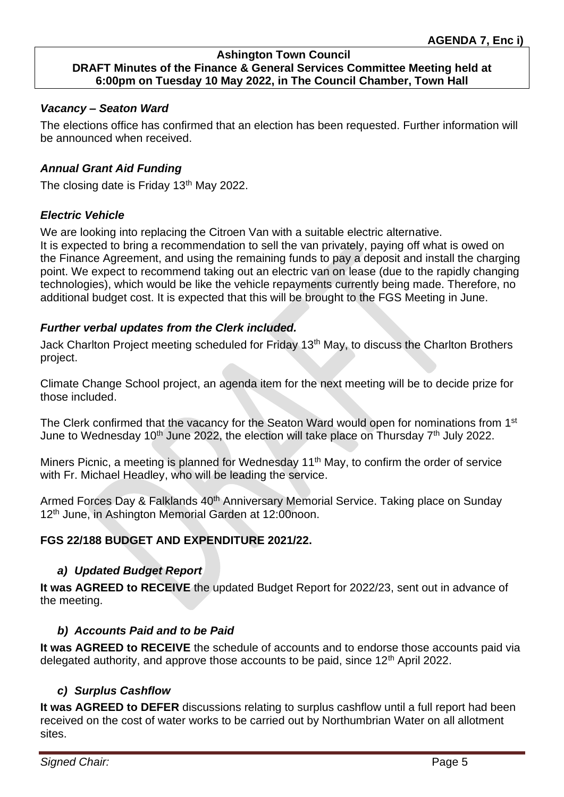# *Vacancy – Seaton Ward*

The elections office has confirmed that an election has been requested. Further information will be announced when received.

### *Annual Grant Aid Funding*

The closing date is Friday 13<sup>th</sup> May 2022.

### *Electric Vehicle*

We are looking into replacing the Citroen Van with a suitable electric alternative. It is expected to bring a recommendation to sell the van privately, paying off what is owed on the Finance Agreement, and using the remaining funds to pay a deposit and install the charging point. We expect to recommend taking out an electric van on lease (due to the rapidly changing technologies), which would be like the vehicle repayments currently being made. Therefore, no additional budget cost. It is expected that this will be brought to the FGS Meeting in June.

### *Further verbal updates from the Clerk included.*

Jack Charlton Project meeting scheduled for Friday 13<sup>th</sup> May, to discuss the Charlton Brothers project.

Climate Change School project, an agenda item for the next meeting will be to decide prize for those included.

The Clerk confirmed that the vacancy for the Seaton Ward would open for nominations from 1<sup>st</sup> June to Wednesday 10<sup>th</sup> June 2022, the election will take place on Thursday  $7<sup>th</sup>$  July 2022.

Miners Picnic, a meeting is planned for Wednesday 11<sup>th</sup> May, to confirm the order of service with Fr. Michael Headley, who will be leading the service.

Armed Forces Day & Falklands 40<sup>th</sup> Anniversary Memorial Service. Taking place on Sunday 12th June, in Ashington Memorial Garden at 12:00noon.

# **FGS 22/188 BUDGET AND EXPENDITURE 2021/22.**

# *a) Updated Budget Report*

**It was AGREED to RECEIVE** the updated Budget Report for 2022/23, sent out in advance of the meeting.

# *b) Accounts Paid and to be Paid*

**It was AGREED to RECEIVE** the schedule of accounts and to endorse those accounts paid via delegated authority, and approve those accounts to be paid, since 12<sup>th</sup> April 2022.

# *c) Surplus Cashflow*

**It was AGREED to DEFER** discussions relating to surplus cashflow until a full report had been received on the cost of water works to be carried out by Northumbrian Water on all allotment sites.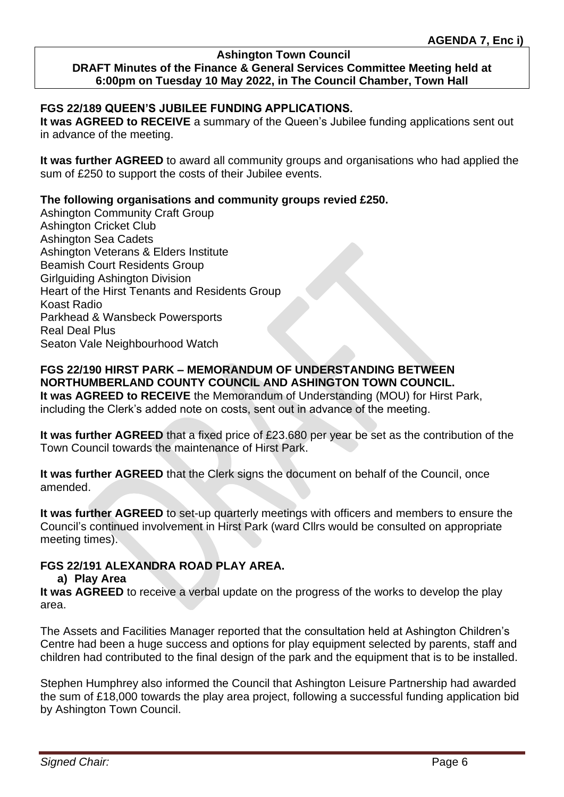#### **Ashington Town Council**

# **DRAFT Minutes of the Finance & General Services Committee Meeting held at 6:00pm on Tuesday 10 May 2022, in The Council Chamber, Town Hall**

#### **FGS 22/189 QUEEN'S JUBILEE FUNDING APPLICATIONS.**

**It was AGREED to RECEIVE** a summary of the Queen's Jubilee funding applications sent out in advance of the meeting.

**It was further AGREED** to award all community groups and organisations who had applied the sum of £250 to support the costs of their Jubilee events.

#### **The following organisations and community groups revied £250.**

Ashington Community Craft Group Ashington Cricket Club Ashington Sea Cadets Ashington Veterans & Elders Institute Beamish Court Residents Group Girlguiding Ashington Division Heart of the Hirst Tenants and Residents Group Koast Radio Parkhead & Wansbeck Powersports Real Deal Plus Seaton Vale Neighbourhood Watch

# **FGS 22/190 HIRST PARK – MEMORANDUM OF UNDERSTANDING BETWEEN NORTHUMBERLAND COUNTY COUNCIL AND ASHINGTON TOWN COUNCIL.**

**It was AGREED to RECEIVE** the Memorandum of Understanding (MOU) for Hirst Park, including the Clerk's added note on costs, sent out in advance of the meeting.

**It was further AGREED** that a fixed price of £23.680 per year be set as the contribution of the Town Council towards the maintenance of Hirst Park.

**It was further AGREED** that the Clerk signs the document on behalf of the Council, once amended.

**It was further AGREED** to set-up quarterly meetings with officers and members to ensure the Council's continued involvement in Hirst Park (ward Cllrs would be consulted on appropriate meeting times).

### **FGS 22/191 ALEXANDRA ROAD PLAY AREA.**

#### **a) Play Area**

**It was AGREED** to receive a verbal update on the progress of the works to develop the play area.

The Assets and Facilities Manager reported that the consultation held at Ashington Children's Centre had been a huge success and options for play equipment selected by parents, staff and children had contributed to the final design of the park and the equipment that is to be installed.

Stephen Humphrey also informed the Council that Ashington Leisure Partnership had awarded the sum of £18,000 towards the play area project, following a successful funding application bid by Ashington Town Council.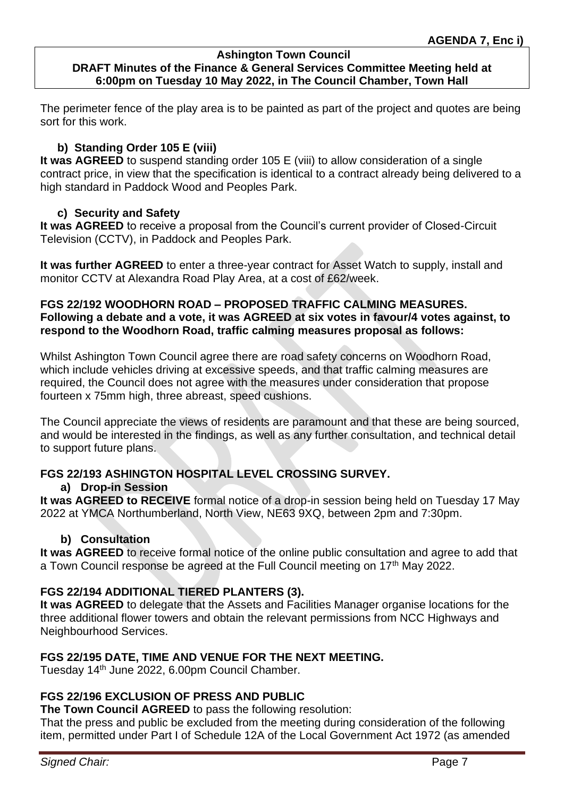The perimeter fence of the play area is to be painted as part of the project and quotes are being sort for this work.

# **b) Standing Order 105 E (viii)**

**It was AGREED** to suspend standing order 105 E (viii) to allow consideration of a single contract price, in view that the specification is identical to a contract already being delivered to a high standard in Paddock Wood and Peoples Park.

# **c) Security and Safety**

**It was AGREED** to receive a proposal from the Council's current provider of Closed-Circuit Television (CCTV), in Paddock and Peoples Park.

**It was further AGREED** to enter a three-year contract for Asset Watch to supply, install and monitor CCTV at Alexandra Road Play Area, at a cost of £62/week.

### **FGS 22/192 WOODHORN ROAD – PROPOSED TRAFFIC CALMING MEASURES. Following a debate and a vote, it was AGREED at six votes in favour/4 votes against, to respond to the Woodhorn Road, traffic calming measures proposal as follows:**

Whilst Ashington Town Council agree there are road safety concerns on Woodhorn Road, which include vehicles driving at excessive speeds, and that traffic calming measures are required, the Council does not agree with the measures under consideration that propose fourteen x 75mm high, three abreast, speed cushions.

The Council appreciate the views of residents are paramount and that these are being sourced, and would be interested in the findings, as well as any further consultation, and technical detail to support future plans.

# **FGS 22/193 ASHINGTON HOSPITAL LEVEL CROSSING SURVEY.**

# **a) Drop-in Session**

**It was AGREED to RECEIVE** formal notice of a drop-in session being held on Tuesday 17 May 2022 at YMCA Northumberland, North View, NE63 9XQ, between 2pm and 7:30pm.

# **b) Consultation**

**It was AGREED** to receive formal notice of the online public consultation and agree to add that a Town Council response be agreed at the Full Council meeting on 17<sup>th</sup> May 2022.

# **FGS 22/194 ADDITIONAL TIERED PLANTERS (3).**

**It was AGREED** to delegate that the Assets and Facilities Manager organise locations for the three additional flower towers and obtain the relevant permissions from NCC Highways and Neighbourhood Services.

# **FGS 22/195 DATE, TIME AND VENUE FOR THE NEXT MEETING.**

Tuesday 14<sup>th</sup> June 2022, 6.00pm Council Chamber.

# **FGS 22/196 EXCLUSION OF PRESS AND PUBLIC**

**The Town Council AGREED** to pass the following resolution:

That the press and public be excluded from the meeting during consideration of the following item, permitted under Part I of Schedule 12A of the Local Government Act 1972 (as amended